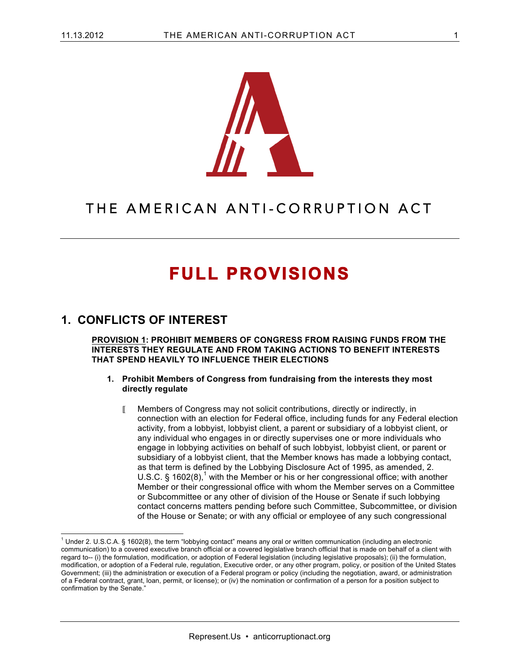

## THE AMERICAN ANTI-CORRUPTION ACT

# **FULL PROVISIONS**

## **1. CONFLICTS OF INTEREST**

**PROVISION 1: PROHIBIT MEMBERS OF CONGRESS FROM RAISING FUNDS FROM THE INTERESTS THEY REGULATE AND FROM TAKING ACTIONS TO BENEFIT INTERESTS THAT SPEND HEAVILY TO INFLUENCE THEIR ELECTIONS**

- **1. Prohibit Members of Congress from fundraising from the interests they most directly regulate**
	- Members of Congress may not solicit contributions, directly or indirectly, in connection with an election for Federal office, including funds for any Federal election activity, from a lobbyist, lobbyist client, a parent or subsidiary of a lobbyist client, or any individual who engages in or directly supervises one or more individuals who engage in lobbying activities on behalf of such lobbyist, lobbyist client, or parent or subsidiary of a lobbyist client, that the Member knows has made a lobbying contact, as that term is defined by the Lobbying Disclosure Act of 1995, as amended, 2. U.S.C.  $\S$  1602(8),<sup>1</sup> with the Member or his or her congressional office; with another Member or their congressional office with whom the Member serves on a Committee or Subcommittee or any other of division of the House or Senate if such lobbying contact concerns matters pending before such Committee, Subcommittee, or division of the House or Senate; or with any official or employee of any such congressional

 $1$  Under 2. U.S.C.A. § 1602(8), the term "lobbying contact" means any oral or written communication (including an electronic communication) to a covered executive branch official or a covered legislative branch official that is made on behalf of a client with regard to-- (i) the formulation, modification, or adoption of Federal legislation (including legislative proposals); (ii) the formulation, modification, or adoption of a Federal rule, regulation, Executive order, or any other program, policy, or position of the United States Government; (iii) the administration or execution of a Federal program or policy (including the negotiation, award, or administration of a Federal contract, grant, loan, permit, or license); or (iv) the nomination or confirmation of a person for a position subject to confirmation by the Senate."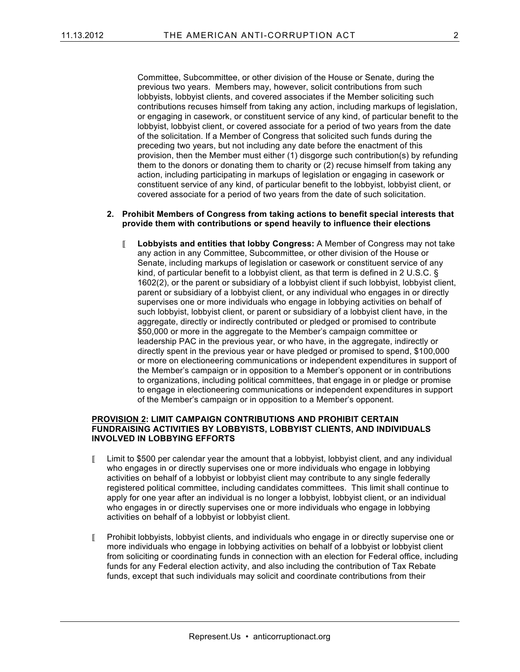Committee, Subcommittee, or other division of the House or Senate, during the previous two years. Members may, however, solicit contributions from such lobbyists, lobbyist clients, and covered associates if the Member soliciting such contributions recuses himself from taking any action, including markups of legislation, or engaging in casework, or constituent service of any kind, of particular benefit to the lobbyist, lobbyist client, or covered associate for a period of two years from the date of the solicitation. If a Member of Congress that solicited such funds during the preceding two years, but not including any date before the enactment of this provision, then the Member must either (1) disgorge such contribution(s) by refunding them to the donors or donating them to charity or (2) recuse himself from taking any action, including participating in markups of legislation or engaging in casework or constituent service of any kind, of particular benefit to the lobbyist, lobbyist client, or covered associate for a period of two years from the date of such solicitation.

#### **2. Prohibit Members of Congress from taking actions to benefit special interests that provide them with contributions or spend heavily to influence their elections**

 **Lobbyists and entities that lobby Congress:** A Member of Congress may not take any action in any Committee, Subcommittee, or other division of the House or Senate, including markups of legislation or casework or constituent service of any kind, of particular benefit to a lobbyist client, as that term is defined in 2 U.S.C. § 1602(2), or the parent or subsidiary of a lobbyist client if such lobbyist, lobbyist client, parent or subsidiary of a lobbyist client, or any individual who engages in or directly supervises one or more individuals who engage in lobbying activities on behalf of such lobbyist, lobbyist client, or parent or subsidiary of a lobbyist client have, in the aggregate, directly or indirectly contributed or pledged or promised to contribute \$50,000 or more in the aggregate to the Member's campaign committee or leadership PAC in the previous year, or who have, in the aggregate, indirectly or directly spent in the previous year or have pledged or promised to spend, \$100,000 or more on electioneering communications or independent expenditures in support of the Member's campaign or in opposition to a Member's opponent or in contributions to organizations, including political committees, that engage in or pledge or promise to engage in electioneering communications or independent expenditures in support of the Member's campaign or in opposition to a Member's opponent.

#### **PROVISION 2: LIMIT CAMPAIGN CONTRIBUTIONS AND PROHIBIT CERTAIN FUNDRAISING ACTIVITIES BY LOBBYISTS, LOBBYIST CLIENTS, AND INDIVIDUALS INVOLVED IN LOBBYING EFFORTS**

- $\blacksquare$  Limit to \$500 per calendar year the amount that a lobbyist, lobbyist client, and any individual who engages in or directly supervises one or more individuals who engage in lobbying activities on behalf of a lobbyist or lobbyist client may contribute to any single federally registered political committee, including candidates committees. This limit shall continue to apply for one year after an individual is no longer a lobbyist, lobbyist client, or an individual who engages in or directly supervises one or more individuals who engage in lobbying activities on behalf of a lobbyist or lobbyist client.
- Prohibit lobbyists, lobbyist clients, and individuals who engage in or directly supervise one or more individuals who engage in lobbying activities on behalf of a lobbyist or lobbyist client from soliciting or coordinating funds in connection with an election for Federal office, including funds for any Federal election activity, and also including the contribution of Tax Rebate funds, except that such individuals may solicit and coordinate contributions from their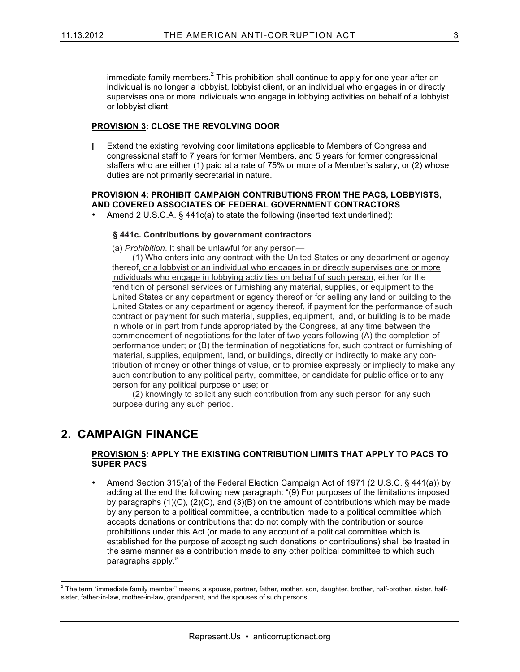immediate family members. $<sup>2</sup>$  This prohibition shall continue to apply for one year after an</sup> individual is no longer a lobbyist, lobbyist client, or an individual who engages in or directly supervises one or more individuals who engage in lobbying activities on behalf of a lobbyist or lobbyist client.

#### **PROVISION 3: CLOSE THE REVOLVING DOOR**

**Extend the existing revolving door limitations applicable to Members of Congress and** congressional staff to 7 years for former Members, and 5 years for former congressional staffers who are either (1) paid at a rate of 75% or more of a Member's salary, or (2) whose duties are not primarily secretarial in nature.

#### **PROVISION 4: PROHIBIT CAMPAIGN CONTRIBUTIONS FROM THE PACS, LOBBYISTS, AND COVERED ASSOCIATES OF FEDERAL GOVERNMENT CONTRACTORS**

• Amend 2 U.S.C.A. § 441c(a) to state the following (inserted text underlined):

#### **§ 441c. Contributions by government contractors**

(a) *Prohibition*. It shall be unlawful for any person—

(1) Who enters into any contract with the United States or any department or agency thereof, or a lobbyist or an individual who engages in or directly supervises one or more individuals who engage in lobbying activities on behalf of such person, either for the rendition of personal services or furnishing any material, supplies, or equipment to the United States or any department or agency thereof or for selling any land or building to the United States or any department or agency thereof, if payment for the performance of such contract or payment for such material, supplies, equipment, land, or building is to be made in whole or in part from funds appropriated by the Congress, at any time between the commencement of negotiations for the later of two years following (A) the completion of performance under; or (B) the termination of negotiations for, such contract or furnishing of material, supplies, equipment, land, or buildings, directly or indirectly to make any contribution of money or other things of value, or to promise expressly or impliedly to make any such contribution to any political party, committee, or candidate for public office or to any person for any political purpose or use; or

(2) knowingly to solicit any such contribution from any such person for any such purpose during any such period.

### **2. CAMPAIGN FINANCE**

#### **PROVISION 5: APPLY THE EXISTING CONTRIBUTION LIMITS THAT APPLY TO PACS TO SUPER PACS**

• Amend Section 315(a) of the Federal Election Campaign Act of 1971 (2 U.S.C. § 441(a)) by adding at the end the following new paragraph: "(9) For purposes of the limitations imposed by paragraphs  $(1)(C)$ ,  $(2)(C)$ , and  $(3)(B)$  on the amount of contributions which may be made by any person to a political committee, a contribution made to a political committee which accepts donations or contributions that do not comply with the contribution or source prohibitions under this Act (or made to any account of a political committee which is established for the purpose of accepting such donations or contributions) shall be treated in the same manner as a contribution made to any other political committee to which such paragraphs apply."

 $2$  The term "immediate family member" means, a spouse, partner, father, mother, son, daughter, brother, half-brother, sister, halfsister, father-in-law, mother-in-law, grandparent, and the spouses of such persons.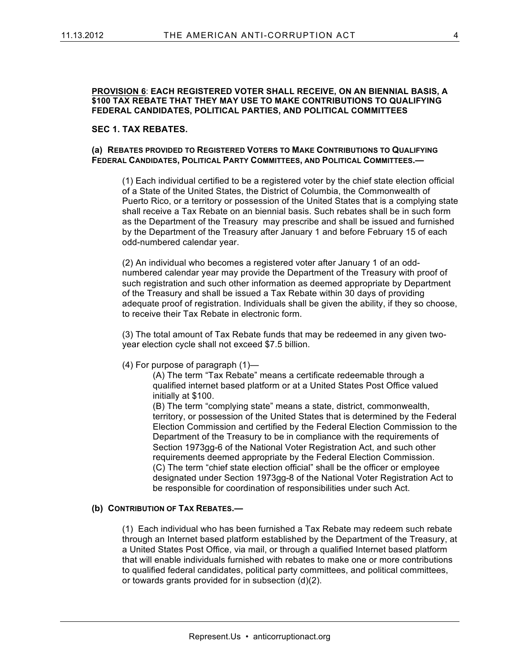#### **PROVISION 6**: **EACH REGISTERED VOTER SHALL RECEIVE, ON AN BIENNIAL BASIS, A \$100 TAX REBATE THAT THEY MAY USE TO MAKE CONTRIBUTIONS TO QUALIFYING FEDERAL CANDIDATES, POLITICAL PARTIES, AND POLITICAL COMMITTEES**

#### **SEC 1. TAX REBATES.**

#### **(a) REBATES PROVIDED TO REGISTERED VOTERS TO MAKE CONTRIBUTIONS TO QUALIFYING FEDERAL CANDIDATES, POLITICAL PARTY COMMITTEES, AND POLITICAL COMMITTEES.—**

(1) Each individual certified to be a registered voter by the chief state election official of a State of the United States, the District of Columbia, the Commonwealth of Puerto Rico, or a territory or possession of the United States that is a complying state shall receive a Tax Rebate on an biennial basis. Such rebates shall be in such form as the Department of the Treasury may prescribe and shall be issued and furnished by the Department of the Treasury after January 1 and before February 15 of each odd-numbered calendar year.

(2) An individual who becomes a registered voter after January 1 of an oddnumbered calendar year may provide the Department of the Treasury with proof of such registration and such other information as deemed appropriate by Department of the Treasury and shall be issued a Tax Rebate within 30 days of providing adequate proof of registration. Individuals shall be given the ability, if they so choose, to receive their Tax Rebate in electronic form.

(3) The total amount of Tax Rebate funds that may be redeemed in any given twoyear election cycle shall not exceed \$7.5 billion.

#### (4) For purpose of paragraph (1)—

(A) The term "Tax Rebate" means a certificate redeemable through a qualified internet based platform or at a United States Post Office valued initially at \$100.

(B) The term "complying state" means a state, district, commonwealth, territory, or possession of the United States that is determined by the Federal Election Commission and certified by the Federal Election Commission to the Department of the Treasury to be in compliance with the requirements of Section 1973gg-6 of the National Voter Registration Act, and such other requirements deemed appropriate by the Federal Election Commission. (C) The term "chief state election official" shall be the officer or employee designated under Section 1973gg-8 of the National Voter Registration Act to be responsible for coordination of responsibilities under such Act.

#### **(b) CONTRIBUTION OF TAX REBATES.—**

(1) Each individual who has been furnished a Tax Rebate may redeem such rebate through an Internet based platform established by the Department of the Treasury, at a United States Post Office, via mail, or through a qualified Internet based platform that will enable individuals furnished with rebates to make one or more contributions to qualified federal candidates, political party committees, and political committees, or towards grants provided for in subsection (d)(2).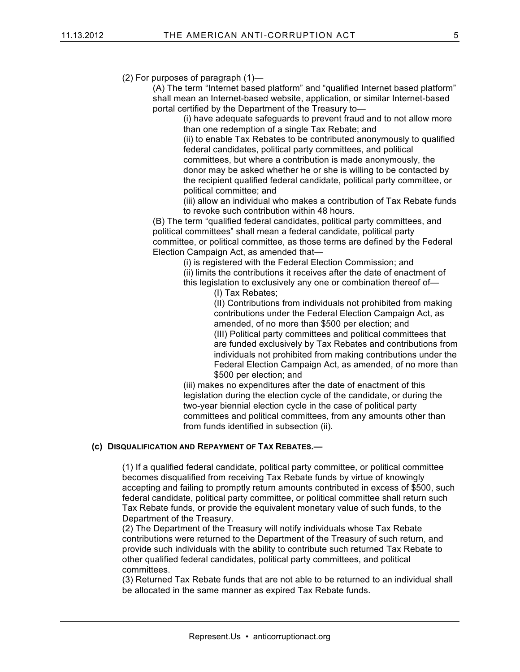(2) For purposes of paragraph (1)—

(A) The term "Internet based platform" and "qualified Internet based platform" shall mean an Internet-based website, application, or similar Internet-based portal certified by the Department of the Treasury to—

(i) have adequate safeguards to prevent fraud and to not allow more than one redemption of a single Tax Rebate; and

(ii) to enable Tax Rebates to be contributed anonymously to qualified federal candidates, political party committees, and political committees, but where a contribution is made anonymously, the donor may be asked whether he or she is willing to be contacted by the recipient qualified federal candidate, political party committee, or political committee; and

(iii) allow an individual who makes a contribution of Tax Rebate funds to revoke such contribution within 48 hours.

(B) The term "qualified federal candidates, political party committees, and political committees" shall mean a federal candidate, political party committee, or political committee, as those terms are defined by the Federal Election Campaign Act, as amended that—

(i) is registered with the Federal Election Commission; and

(ii) limits the contributions it receives after the date of enactment of

this legislation to exclusively any one or combination thereof of—

(I) Tax Rebates;

(II) Contributions from individuals not prohibited from making contributions under the Federal Election Campaign Act, as amended, of no more than \$500 per election; and (III) Political party committees and political committees that are funded exclusively by Tax Rebates and contributions from individuals not prohibited from making contributions under the Federal Election Campaign Act, as amended, of no more than \$500 per election; and

(iii) makes no expenditures after the date of enactment of this legislation during the election cycle of the candidate, or during the two-year biennial election cycle in the case of political party committees and political committees, from any amounts other than from funds identified in subsection (ii).

#### **(c) DISQUALIFICATION AND REPAYMENT OF TAX REBATES.—**

(1) If a qualified federal candidate, political party committee, or political committee becomes disqualified from receiving Tax Rebate funds by virtue of knowingly accepting and failing to promptly return amounts contributed in excess of \$500, such federal candidate, political party committee, or political committee shall return such Tax Rebate funds, or provide the equivalent monetary value of such funds, to the Department of the Treasury.

(2) The Department of the Treasury will notify individuals whose Tax Rebate contributions were returned to the Department of the Treasury of such return, and provide such individuals with the ability to contribute such returned Tax Rebate to other qualified federal candidates, political party committees, and political committees.

(3) Returned Tax Rebate funds that are not able to be returned to an individual shall be allocated in the same manner as expired Tax Rebate funds.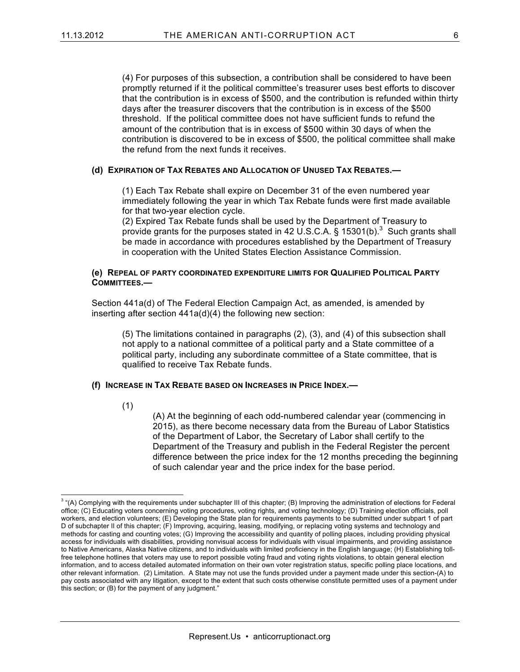(4) For purposes of this subsection, a contribution shall be considered to have been promptly returned if it the political committee's treasurer uses best efforts to discover that the contribution is in excess of \$500, and the contribution is refunded within thirty days after the treasurer discovers that the contribution is in excess of the \$500 threshold. If the political committee does not have sufficient funds to refund the amount of the contribution that is in excess of \$500 within 30 days of when the contribution is discovered to be in excess of \$500, the political committee shall make the refund from the next funds it receives.

#### **(d) EXPIRATION OF TAX REBATES AND ALLOCATION OF UNUSED TAX REBATES.—**

(1) Each Tax Rebate shall expire on December 31 of the even numbered year immediately following the year in which Tax Rebate funds were first made available for that two-year election cycle.

(2) Expired Tax Rebate funds shall be used by the Department of Treasury to provide grants for the purposes stated in 42 U.S.C.A.  $\S$  15301(b).<sup>3</sup> Such grants shall be made in accordance with procedures established by the Department of Treasury in cooperation with the United States Election Assistance Commission.

#### **(e) REPEAL OF PARTY COORDINATED EXPENDITURE LIMITS FOR QUALIFIED POLITICAL PARTY COMMITTEES.—**

Section 441a(d) of The Federal Election Campaign Act, as amended, is amended by inserting after section 441a(d)(4) the following new section:

(5) The limitations contained in paragraphs (2), (3), and (4) of this subsection shall not apply to a national committee of a political party and a State committee of a political party, including any subordinate committee of a State committee, that is qualified to receive Tax Rebate funds.

#### **(f) INCREASE IN TAX REBATE BASED ON INCREASES IN PRICE INDEX.—**

(1)

(A) At the beginning of each odd-numbered calendar year (commencing in 2015), as there become necessary data from the Bureau of Labor Statistics of the Department of Labor, the Secretary of Labor shall certify to the Department of the Treasury and publish in the Federal Register the percent difference between the price index for the 12 months preceding the beginning of such calendar year and the price index for the base period.

 $3$  "(A) Complying with the requirements under subchapter III of this chapter; (B) Improving the administration of elections for Federal office; (C) Educating voters concerning voting procedures, voting rights, and voting technology; (D) Training election officials, poll workers, and election volunteers; (E) Developing the State plan for requirements payments to be submitted under subpart 1 of part D of subchapter II of this chapter; (F) Improving, acquiring, leasing, modifying, or replacing voting systems and technology and methods for casting and counting votes; (G) Improving the accessibility and quantity of polling places, including providing physical access for individuals with disabilities, providing nonvisual access for individuals with visual impairments, and providing assistance to Native Americans, Alaska Native citizens, and to individuals with limited proficiency in the English language; (H) Establishing tollfree telephone hotlines that voters may use to report possible voting fraud and voting rights violations, to obtain general election information, and to access detailed automated information on their own voter registration status, specific polling place locations, and other relevant information. (2) Limitation. A State may not use the funds provided under a payment made under this section-(A) to pay costs associated with any litigation, except to the extent that such costs otherwise constitute permitted uses of a payment under this section; or (B) for the payment of any judgment."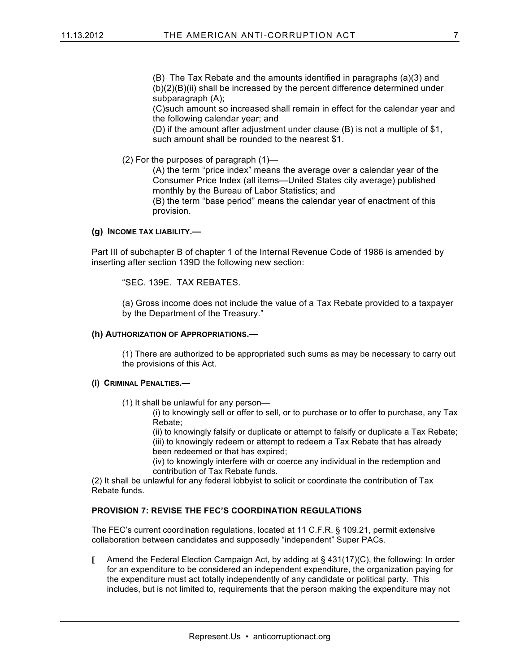(B) The Tax Rebate and the amounts identified in paragraphs (a)(3) and  $(b)(2)(B)(ii)$  shall be increased by the percent difference determined under subparagraph (A);

(C)such amount so increased shall remain in effect for the calendar year and the following calendar year; and

(D) if the amount after adjustment under clause (B) is not a multiple of \$1, such amount shall be rounded to the nearest \$1.

(2) For the purposes of paragraph (1)—

(A) the term "price index" means the average over a calendar year of the Consumer Price Index (all items—United States city average) published monthly by the Bureau of Labor Statistics; and (B) the term "base period" means the calendar year of enactment of this provision.

#### **(g) INCOME TAX LIABILITY.—**

Part III of subchapter B of chapter 1 of the Internal Revenue Code of 1986 is amended by inserting after section 139D the following new section:

"SEC. 139E. TAX REBATES.

(a) Gross income does not include the value of a Tax Rebate provided to a taxpayer by the Department of the Treasury."

#### **(h) AUTHORIZATION OF APPROPRIATIONS.—**

(1) There are authorized to be appropriated such sums as may be necessary to carry out the provisions of this Act.

#### **(i) CRIMINAL PENALTIES.—**

(1) It shall be unlawful for any person—

(i) to knowingly sell or offer to sell, or to purchase or to offer to purchase, any Tax Rebate;

(ii) to knowingly falsify or duplicate or attempt to falsify or duplicate a Tax Rebate; (iii) to knowingly redeem or attempt to redeem a Tax Rebate that has already been redeemed or that has expired;

(iv) to knowingly interfere with or coerce any individual in the redemption and contribution of Tax Rebate funds.

(2) It shall be unlawful for any federal lobbyist to solicit or coordinate the contribution of Tax Rebate funds.

#### **PROVISION 7: REVISE THE FEC'S COORDINATION REGULATIONS**

The FEC's current coordination regulations, located at 11 C.F.R. § 109.21, permit extensive collaboration between candidates and supposedly "independent" Super PACs.

 $\blacksquare$  Amend the Federal Election Campaign Act, by adding at § 431(17)(C), the following: In order for an expenditure to be considered an independent expenditure, the organization paying for the expenditure must act totally independently of any candidate or political party. This includes, but is not limited to, requirements that the person making the expenditure may not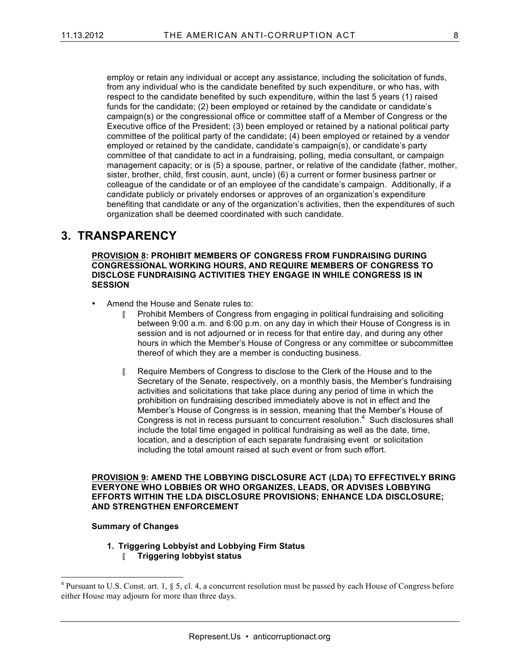employ or retain any individual or accept any assistance, including the solicitation of funds, from any individual who is the candidate benefited by such expenditure, or who has, with respect to the candidate benefited by such expenditure, within the last 5 years (1) raised funds for the candidate; (2) been employed or retained by the candidate or candidate's campaign(s) or the congressional office or committee staff of a Member of Congress or the Executive office of the President; (3) been employed or retained by a national political party committee of the political party of the candidate; (4) been employed or retained by a vendor employed or retained by the candidate, candidate's campaign(s), or candidate's party committee of that candidate to act in a fundraising, polling, media consultant, or campaign management capacity; or is (5) a spouse, partner, or relative of the candidate (father, mother, sister, brother, child, first cousin, aunt, uncle) (6) a current or former business partner or colleague of the candidate or of an employee of the candidate's campaign. Additionally, if a candidate publicly or privately endorses or approves of an organization's expenditure benefiting that candidate or any of the organization's activities, then the expenditures of such organization shall be deemed coordinated with such candidate.

## **3. TRANSPARENCY**

**PROVISION 8: PROHIBIT MEMBERS OF CONGRESS FROM FUNDRAISING DURING CONGRESSIONAL WORKING HOURS, AND REQUIRE MEMBERS OF CONGRESS TO DISCLOSE FUNDRAISING ACTIVITIES THEY ENGAGE IN WHILE CONGRESS IS IN SESSION**

- Amend the House and Senate rules to:
	- Prohibit Members of Congress from engaging in political fundraising and soliciting between 9:00 a.m. and 6:00 p.m. on any day in which their House of Congress is in session and is not adjourned or in recess for that entire day, and during any other hours in which the Member's House of Congress or any committee or subcommittee thereof of which they are a member is conducting business.
	- Require Members of Congress to disclose to the Clerk of the House and to the Secretary of the Senate, respectively, on a monthly basis, the Member's fundraising activities and solicitations that take place during any period of time in which the prohibition on fundraising described immediately above is not in effect and the Member's House of Congress is in session, meaning that the Member's House of Congress is not in recess pursuant to concurrent resolution. $4$  Such disclosures shall include the total time engaged in political fundraising as well as the date, time, location, and a description of each separate fundraising event or solicitation including the total amount raised at such event or from such effort.

**PROVISION 9: AMEND THE LOBBYING DISCLOSURE ACT (LDA) TO EFFECTIVELY BRING EVERYONE WHO LOBBIES OR WHO ORGANIZES, LEADS, OR ADVISES LOBBYING EFFORTS WITHIN THE LDA DISCLOSURE PROVISIONS; ENHANCE LDA DISCLOSURE; AND STRENGTHEN ENFORCEMENT**

#### **Summary of Changes**

**1. Triggering Lobbyist and Lobbying Firm Status Triggering lobbyist status**

<sup>&</sup>lt;sup>4</sup> Pursuant to U.S. Const. art. 1, § 5, cl. 4, a concurrent resolution must be passed by each House of Congress before either House may adjourn for more than three days.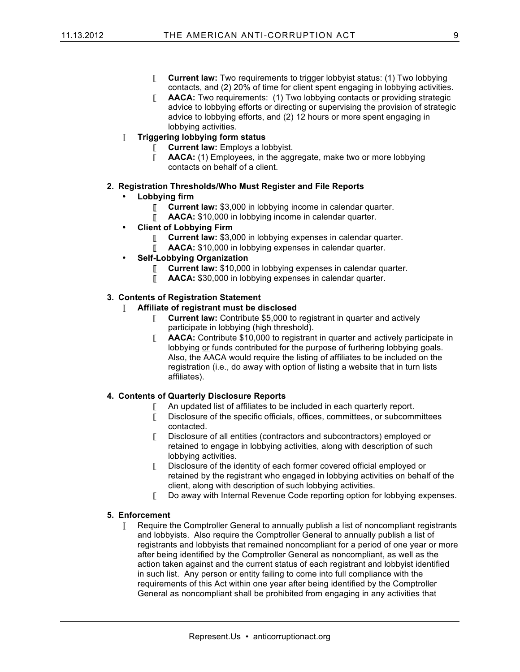- **Current law:** Two requirements to trigger lobbyist status: (1) Two lobbying contacts, and (2) 20% of time for client spent engaging in lobbying activities.
- **AACA:** Two requirements: (1) Two lobbying contacts or providing strategic advice to lobbying efforts or directing or supervising the provision of strategic advice to lobbying efforts, and (2) 12 hours or more spent engaging in lobbying activities.
- **Triggering lobbying form status**
	- **Current law:** Employs a lobbyist.
	- **AACA:** (1) Employees, in the aggregate, make two or more lobbying contacts on behalf of a client.
- **2. Registration Thresholds/Who Must Register and File Reports** 
	- **Lobbying firm**
		- **Current law: \$3,000 in lobbying income in calendar quarter.**
		- **AACA:** \$10,000 in lobbying income in calendar quarter.
	- **Client of Lobbying Firm**
		- **Current law: \$3,000 in lobbying expenses in calendar quarter.**
		- **AACA:** \$10,000 in lobbying expenses in calendar quarter.
	- **Self-Lobbying Organization**
		- **Current law: \$10,000 in lobbying expenses in calendar quarter.**
		- **AACA:** \$30,000 in lobbying expenses in calendar quarter.

#### **3. Contents of Registration Statement**

#### **Affiliate of registrant must be disclosed**

- **Current law:** Contribute \$5,000 to registrant in quarter and actively participate in lobbying (high threshold).
- **AACA:** Contribute \$10,000 to registrant in quarter and actively participate in lobbying or funds contributed for the purpose of furthering lobbying goals. Also, the AACA would require the listing of affiliates to be included on the registration (i.e., do away with option of listing a website that in turn lists affiliates).

#### **4. Contents of Quarterly Disclosure Reports**

- An updated list of affiliates to be included in each quarterly report.
- Disclosure of the specific officials, offices, committees, or subcommittees contacted.
- Disclosure of all entities (contractors and subcontractors) employed or retained to engage in lobbying activities, along with description of such lobbying activities.
- Disclosure of the identity of each former covered official employed or retained by the registrant who engaged in lobbying activities on behalf of the client, along with description of such lobbying activities.
- Do away with Internal Revenue Code reporting option for lobbying expenses.

#### **5. Enforcement**

 $\llbracket$  Require the Comptroller General to annually publish a list of noncompliant registrants and lobbyists. Also require the Comptroller General to annually publish a list of registrants and lobbyists that remained noncompliant for a period of one year or more after being identified by the Comptroller General as noncompliant, as well as the action taken against and the current status of each registrant and lobbyist identified in such list. Any person or entity failing to come into full compliance with the requirements of this Act within one year after being identified by the Comptroller General as noncompliant shall be prohibited from engaging in any activities that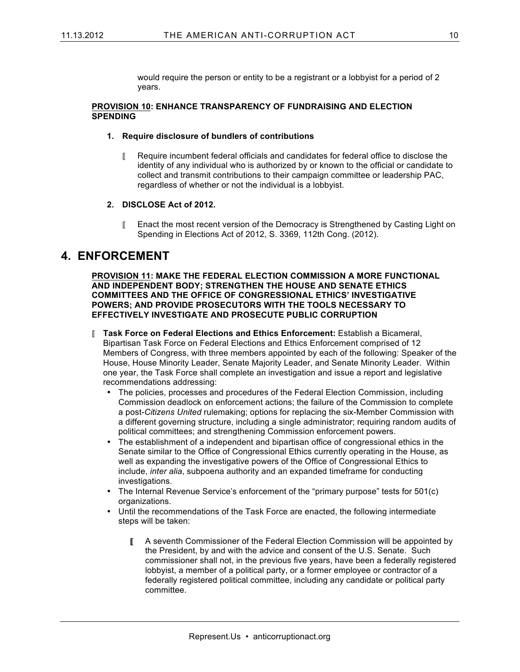would require the person or entity to be a registrant or a lobbyist for a period of 2 years.

#### **PROVISION 10: ENHANCE TRANSPARENCY OF FUNDRAISING AND ELECTION SPENDING**

#### **1. Require disclosure of bundlers of contributions**

- Require incumbent federal officials and candidates for federal office to disclose the identity of any individual who is authorized by or known to the official or candidate to collect and transmit contributions to their campaign committee or leadership PAC, regardless of whether or not the individual is a lobbyist.
- **2. DISCLOSE Act of 2012.**
	- Enact the most recent version of the Democracy is Strengthened by Casting Light on Spending in Elections Act of 2012, S. 3369, 112th Cong. (2012).

## **4. ENFORCEMENT**

**PROVISION 11: MAKE THE FEDERAL ELECTION COMMISSION A MORE FUNCTIONAL AND INDEPENDENT BODY; STRENGTHEN THE HOUSE AND SENATE ETHICS COMMITTEES AND THE OFFICE OF CONGRESSIONAL ETHICS' INVESTIGATIVE POWERS; AND PROVIDE PROSECUTORS WITH THE TOOLS NECESSARY TO EFFECTIVELY INVESTIGATE AND PROSECUTE PUBLIC CORRUPTION**

- **Task Force on Federal Elections and Ethics Enforcement:** Establish a Bicameral, Bipartisan Task Force on Federal Elections and Ethics Enforcement comprised of 12 Members of Congress, with three members appointed by each of the following: Speaker of the House, House Minority Leader, Senate Majority Leader, and Senate Minority Leader. Within one year, the Task Force shall complete an investigation and issue a report and legislative recommendations addressing:
	- The policies, processes and procedures of the Federal Election Commission, including Commission deadlock on enforcement actions; the failure of the Commission to complete a post-*Citizens United* rulemaking; options for replacing the six-Member Commission with a different governing structure, including a single administrator; requiring random audits of political committees; and strengthening Commission enforcement powers.
	- The establishment of a independent and bipartisan office of congressional ethics in the Senate similar to the Office of Congressional Ethics currently operating in the House, as well as expanding the investigative powers of the Office of Congressional Ethics to include, *inter alia*, subpoena authority and an expanded timeframe for conducting investigations.
	- The Internal Revenue Service's enforcement of the "primary purpose" tests for 501(c) organizations.
	- Until the recommendations of the Task Force are enacted, the following intermediate steps will be taken:
		- A seventh Commissioner of the Federal Election Commission will be appointed by the President, by and with the advice and consent of the U.S. Senate. Such commissioner shall not, in the previous five years, have been a federally registered lobbyist, a member of a political party, or a former employee or contractor of a federally registered political committee, including any candidate or political party committee.